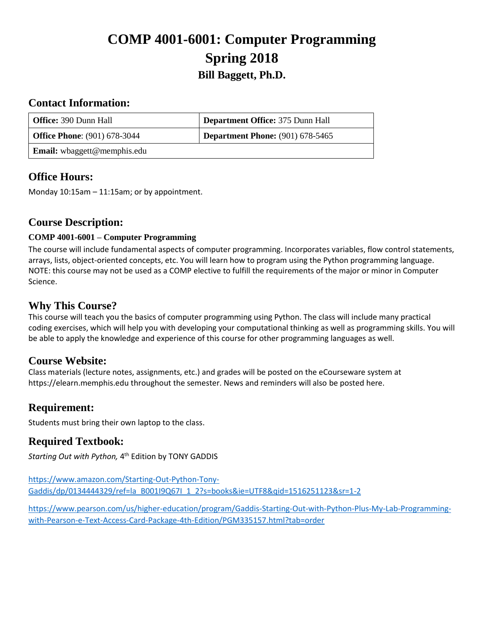# **COMP 4001-6001: Computer Programming Spring 2018 Bill Baggett, Ph.D.**

### **Contact Information:**

| <b>Office: 390 Dunn Hall</b>        | Department Office: 375 Dunn Hall        |
|-------------------------------------|-----------------------------------------|
| <b>Office Phone:</b> (901) 678-3044 | <b>Department Phone:</b> (901) 678-5465 |
| <b>Email:</b> wbaggett@memphis.edu  |                                         |

# **Office Hours:**

Monday 10:15am – 11:15am; or by appointment.

### **Course Description:**

### **COMP 4001-6001 – Computer Programming**

The course will include fundamental aspects of computer programming. Incorporates variables, flow control statements, arrays, lists, object-oriented concepts, etc. You will learn how to program using the Python programming language. NOTE: this course may not be used as a COMP elective to fulfill the requirements of the major or minor in Computer Science.

### **Why This Course?**

This course will teach you the basics of computer programming using Python. The class will include many practical coding exercises, which will help you with developing your computational thinking as well as programming skills. You will be able to apply the knowledge and experience of this course for other programming languages as well.

### **Course Website:**

Class materials (lecture notes, assignments, etc.) and grades will be posted on the eCourseware system at https://elearn.memphis.edu throughout the semester. News and reminders will also be posted here.

# **Requirement:**

Students must bring their own laptop to the class.

### **Required Textbook:**

*Starting Out with Python,* 4 th Edition by TONY GADDIS

[https://www.amazon.com/Starting-Out-Python-Tony-](https://www.amazon.com/Starting-Out-Python-Tony-Gaddis/dp/0134444329/ref=la_B001I9Q67I_1_2?s=books&ie=UTF8&qid=1516251123&sr=1-2)[Gaddis/dp/0134444329/ref=la\\_B001I9Q67I\\_1\\_2?s=books&ie=UTF8&qid=1516251123&sr=1-2](https://www.amazon.com/Starting-Out-Python-Tony-Gaddis/dp/0134444329/ref=la_B001I9Q67I_1_2?s=books&ie=UTF8&qid=1516251123&sr=1-2)

[https://www.pearson.com/us/higher-education/program/Gaddis-Starting-Out-with-Python-Plus-My-Lab-Programming](https://www.pearson.com/us/higher-education/program/Gaddis-Starting-Out-with-Python-Plus-My-Lab-Programming-with-Pearson-e-Text-Access-Card-Package-4th-Edition/PGM335157.html?tab=order)[with-Pearson-e-Text-Access-Card-Package-4th-Edition/PGM335157.html?tab=order](https://www.pearson.com/us/higher-education/program/Gaddis-Starting-Out-with-Python-Plus-My-Lab-Programming-with-Pearson-e-Text-Access-Card-Package-4th-Edition/PGM335157.html?tab=order)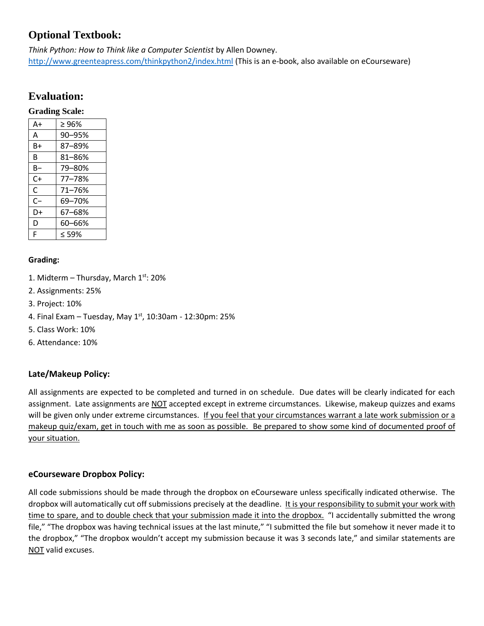# **Optional Textbook:**

*Think Python: How to Think like a Computer Scientist* by Allen Downey. <http://www.greenteapress.com/thinkpython2/index.html> (This is an e-book, also available on eCourseware)

# **Evaluation:**

#### **Grading Scale:**

| A+   | >96%       |
|------|------------|
| A    | 90-95%     |
| B+   | 87-89%     |
| B    | $81 - 86%$ |
| B-   | 79-80%     |
| $C+$ | 77-78%     |
| C    | $71 - 76%$ |
| $C-$ | 69–70%     |
| D+   | 67-68%     |
| D    | 60-66%     |
| F    | < 59%      |
|      |            |

#### **Grading:**

- 1. Midterm Thursday, March  $1^{st}$ : 20%
- 2. Assignments: 25%
- 3. Project: 10%
- 4. Final Exam Tuesday, May  $1<sup>st</sup>$ , 10:30am 12:30pm: 25%
- 5. Class Work: 10%
- 6. Attendance: 10%

### **Late/Makeup Policy:**

All assignments are expected to be completed and turned in on schedule. Due dates will be clearly indicated for each assignment. Late assignments are NOT accepted except in extreme circumstances. Likewise, makeup quizzes and exams will be given only under extreme circumstances. If you feel that your circumstances warrant a late work submission or a makeup quiz/exam, get in touch with me as soon as possible. Be prepared to show some kind of documented proof of your situation.

#### **eCourseware Dropbox Policy:**

All code submissions should be made through the dropbox on eCourseware unless specifically indicated otherwise. The dropbox will automatically cut off submissions precisely at the deadline. It is your responsibility to submit your work with time to spare, and to double check that your submission made it into the dropbox. "I accidentally submitted the wrong file," "The dropbox was having technical issues at the last minute," "I submitted the file but somehow it never made it to the dropbox," "The dropbox wouldn't accept my submission because it was 3 seconds late," and similar statements are NOT valid excuses.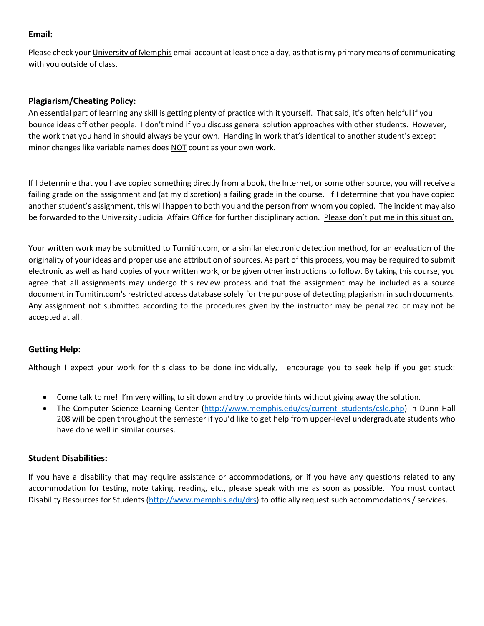### **Email:**

Please check your University of Memphis email account at least once a day, as that is my primary means of communicating with you outside of class.

### **Plagiarism/Cheating Policy:**

An essential part of learning any skill is getting plenty of practice with it yourself. That said, it's often helpful if you bounce ideas off other people. I don't mind if you discuss general solution approaches with other students. However, the work that you hand in should always be your own. Handing in work that's identical to another student's except minor changes like variable names does NOT count as your own work.

If I determine that you have copied something directly from a book, the Internet, or some other source, you will receive a failing grade on the assignment and (at my discretion) a failing grade in the course. If I determine that you have copied another student's assignment, this will happen to both you and the person from whom you copied. The incident may also be forwarded to the University Judicial Affairs Office for further disciplinary action. Please don't put me in this situation.

Your written work may be submitted to Turnitin.com, or a similar electronic detection method, for an evaluation of the originality of your ideas and proper use and attribution of sources. As part of this process, you may be required to submit electronic as well as hard copies of your written work, or be given other instructions to follow. By taking this course, you agree that all assignments may undergo this review process and that the assignment may be included as a source document in Turnitin.com's restricted access database solely for the purpose of detecting plagiarism in such documents. Any assignment not submitted according to the procedures given by the instructor may be penalized or may not be accepted at all.

#### **Getting Help:**

Although I expect your work for this class to be done individually, I encourage you to seek help if you get stuck:

- Come talk to me! I'm very willing to sit down and try to provide hints without giving away the solution.
- The Computer Science Learning Center [\(http://www.memphis.edu/cs/current\\_students/cslc.php\)](http://www.memphis.edu/cs/current_students/cslc.php) in Dunn Hall 208 will be open throughout the semester if you'd like to get help from upper-level undergraduate students who have done well in similar courses.

#### **Student Disabilities:**

If you have a disability that may require assistance or accommodations, or if you have any questions related to any accommodation for testing, note taking, reading, etc., please speak with me as soon as possible. You must contact Disability Resources for Students [\(http://www.memphis.edu/drs\)](http://www.memphis.edu/drs) to officially request such accommodations / services.